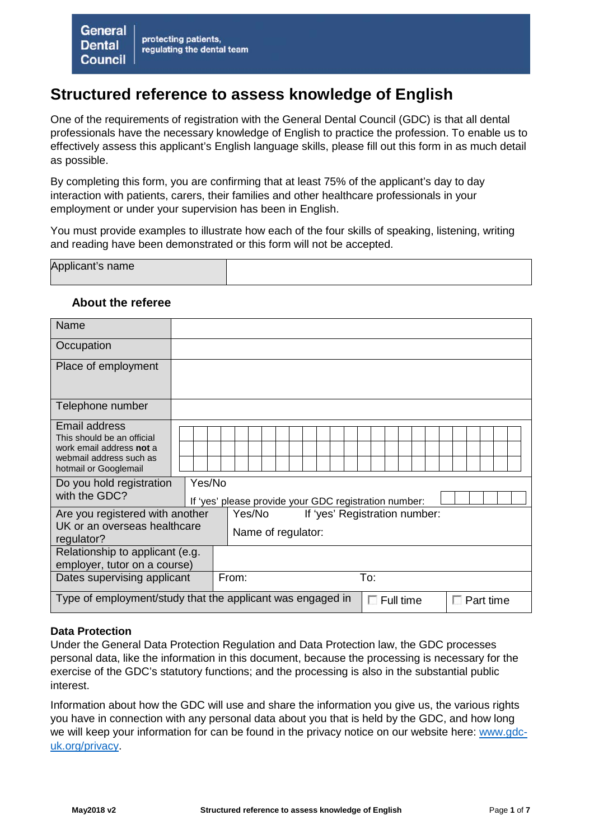## **Structured reference to assess knowledge of English**

One of the requirements of registration with the General Dental Council (GDC) is that all dental professionals have the necessary knowledge of English to practice the profession. To enable us to effectively assess this applicant's English language skills, please fill out this form in as much detail as possible.

By completing this form, you are confirming that at least 75% of the applicant's day to day interaction with patients, carers, their families and other healthcare professionals in your employment or under your supervision has been in English.

You must provide examples to illustrate how each of the four skills of speaking, listening, writing and reading have been demonstrated or this form will not be accepted.

| Applicant's name |  |
|------------------|--|

#### **About the referee**

| Name                                                                                                                                           |        |                                                       |
|------------------------------------------------------------------------------------------------------------------------------------------------|--------|-------------------------------------------------------|
| Occupation                                                                                                                                     |        |                                                       |
| Place of employment                                                                                                                            |        |                                                       |
| Telephone number                                                                                                                               |        |                                                       |
| Email address<br>This should be an official<br>work email address not a<br>webmail address such as<br>hotmail or Googlemail                    |        |                                                       |
| Do you hold registration<br>with the GDC?                                                                                                      | Yes/No | If 'yes' please provide your GDC registration number: |
| Yes/No<br>If 'yes' Registration number:<br>Are you registered with another<br>UK or an overseas healthcare<br>Name of regulator:<br>regulator? |        |                                                       |
| Relationship to applicant (e.g.<br>employer, tutor on a course)                                                                                |        |                                                       |
| To:<br>Dates supervising applicant<br>From:                                                                                                    |        |                                                       |
| Type of employment/study that the applicant was engaged in<br>$\Box$ Full time<br>Part time                                                    |        |                                                       |

#### **Data Protection**

Under the General Data Protection Regulation and Data Protection law, the GDC processes personal data, like the information in this document, because the processing is necessary for the exercise of the GDC's statutory functions; and the processing is also in the substantial public interest.

Information about how the GDC will use and share the information you give us, the various rights you have in connection with any personal data about you that is held by the GDC, and how long we will keep your information for can be found in the privacy notice on our website here: [www.gdc](http://www.gdc-uk.org/privacy)[uk.org/privacy.](http://www.gdc-uk.org/privacy)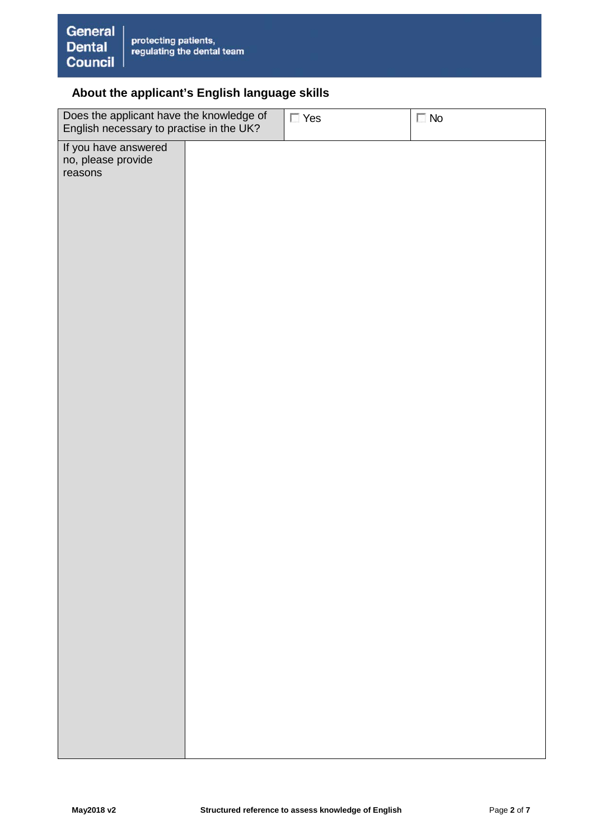# **About the applicant's English language skills**

| Does the applicant have the knowledge of<br>English necessary to practise in the UK? | $\Box$ Yes | $\Box$ No |
|--------------------------------------------------------------------------------------|------------|-----------|
| If you have answered<br>no, please provide<br>reasons                                |            |           |
|                                                                                      |            |           |
|                                                                                      |            |           |
|                                                                                      |            |           |
|                                                                                      |            |           |
|                                                                                      |            |           |
|                                                                                      |            |           |
|                                                                                      |            |           |
|                                                                                      |            |           |
|                                                                                      |            |           |
|                                                                                      |            |           |
|                                                                                      |            |           |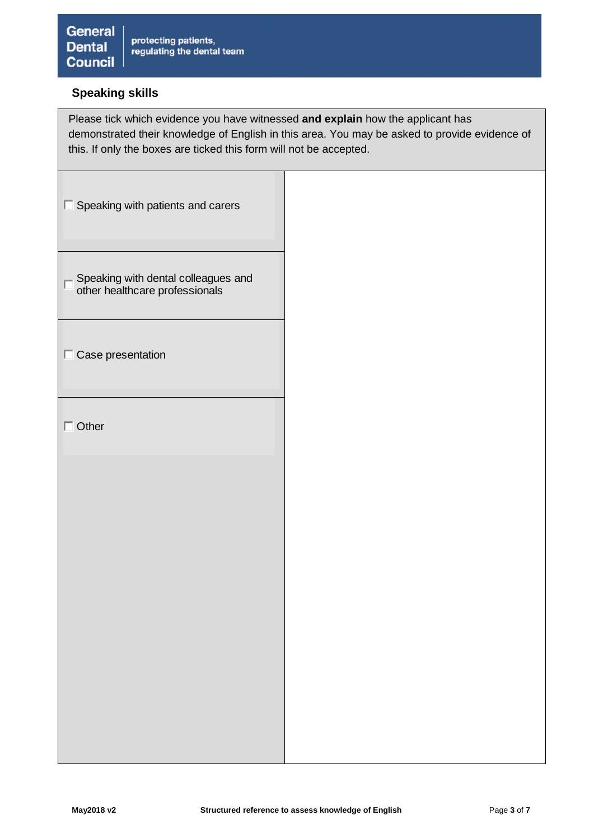

 $\blacksquare$ 

### **Speaking skills**

| Please tick which evidence you have witnessed and explain how the applicant has<br>demonstrated their knowledge of English in this area. You may be asked to provide evidence of<br>this. If only the boxes are ticked this form will not be accepted. |  |
|--------------------------------------------------------------------------------------------------------------------------------------------------------------------------------------------------------------------------------------------------------|--|
|                                                                                                                                                                                                                                                        |  |
|                                                                                                                                                                                                                                                        |  |
|                                                                                                                                                                                                                                                        |  |
|                                                                                                                                                                                                                                                        |  |
|                                                                                                                                                                                                                                                        |  |
|                                                                                                                                                                                                                                                        |  |
|                                                                                                                                                                                                                                                        |  |
|                                                                                                                                                                                                                                                        |  |
|                                                                                                                                                                                                                                                        |  |

 $\blacksquare$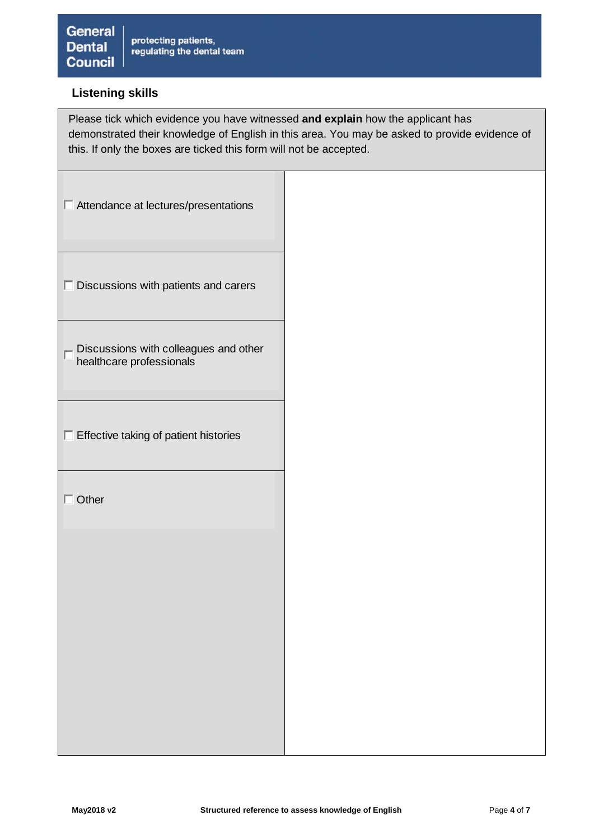

### **Listening skills**

| Please tick which evidence you have witnessed and explain how the applicant has<br>demonstrated their knowledge of English in this area. You may be asked to provide evidence of<br>this. If only the boxes are ticked this form will not be accepted. |  |
|--------------------------------------------------------------------------------------------------------------------------------------------------------------------------------------------------------------------------------------------------------|--|
| $\Box$ Attendance at lectures/presentations                                                                                                                                                                                                            |  |
| $\Box$ Discussions with patients and carers                                                                                                                                                                                                            |  |
| Discussions with colleagues and other<br>healthcare professionals                                                                                                                                                                                      |  |
| $\Box$ Effective taking of patient histories                                                                                                                                                                                                           |  |
| $\Box$ Other                                                                                                                                                                                                                                           |  |
|                                                                                                                                                                                                                                                        |  |
|                                                                                                                                                                                                                                                        |  |
|                                                                                                                                                                                                                                                        |  |
|                                                                                                                                                                                                                                                        |  |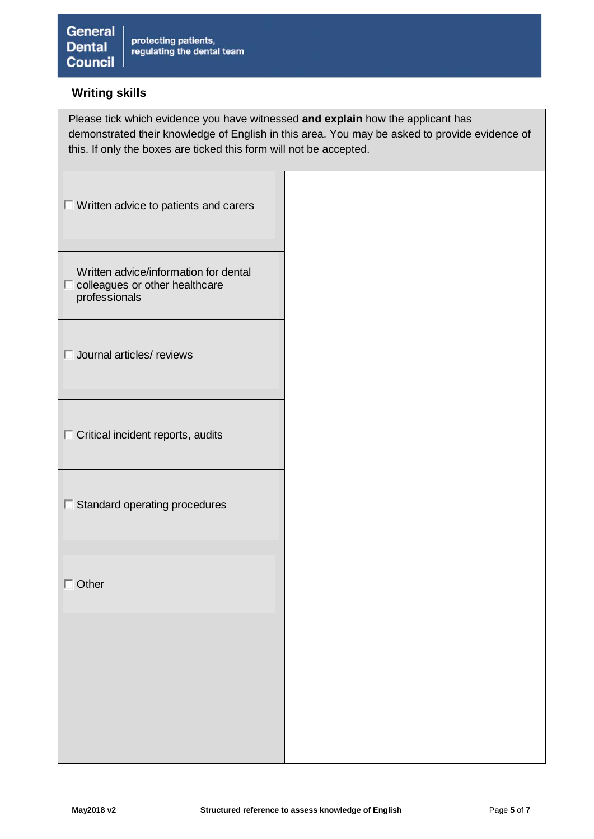

 $\blacksquare$ 

### **Writing skills**

| Please tick which evidence you have witnessed and explain how the applicant has<br>demonstrated their knowledge of English in this area. You may be asked to provide evidence of<br>this. If only the boxes are ticked this form will not be accepted. |  |
|--------------------------------------------------------------------------------------------------------------------------------------------------------------------------------------------------------------------------------------------------------|--|
|                                                                                                                                                                                                                                                        |  |
|                                                                                                                                                                                                                                                        |  |
|                                                                                                                                                                                                                                                        |  |
|                                                                                                                                                                                                                                                        |  |
|                                                                                                                                                                                                                                                        |  |
|                                                                                                                                                                                                                                                        |  |
|                                                                                                                                                                                                                                                        |  |
|                                                                                                                                                                                                                                                        |  |
|                                                                                                                                                                                                                                                        |  |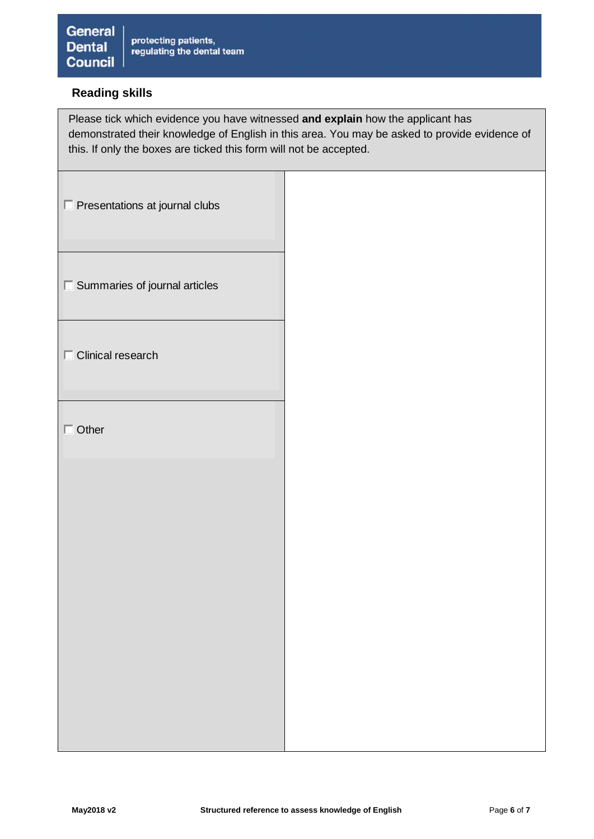

## **Reading skills**

| Please tick which evidence you have witnessed and explain how the applicant has<br>demonstrated their knowledge of English in this area. You may be asked to provide evidence of<br>this. If only the boxes are ticked this form will not be accepted. |  |
|--------------------------------------------------------------------------------------------------------------------------------------------------------------------------------------------------------------------------------------------------------|--|
| $\Box$ Presentations at journal clubs                                                                                                                                                                                                                  |  |
| $\Box$ Summaries of journal articles                                                                                                                                                                                                                   |  |
| $\Box$ Clinical research                                                                                                                                                                                                                               |  |
| $\Box$ Other                                                                                                                                                                                                                                           |  |
|                                                                                                                                                                                                                                                        |  |
|                                                                                                                                                                                                                                                        |  |
|                                                                                                                                                                                                                                                        |  |
|                                                                                                                                                                                                                                                        |  |
|                                                                                                                                                                                                                                                        |  |